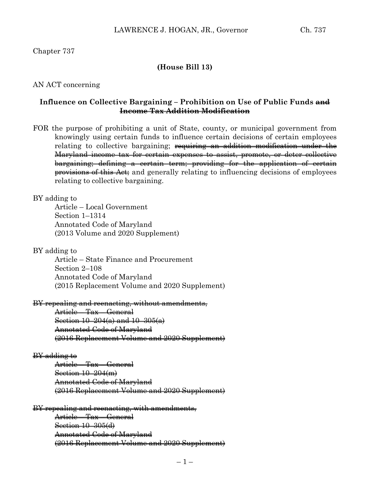## Chapter 737

## **(House Bill 13)**

### AN ACT concerning

## **Influence on Collective Bargaining – Prohibition on Use of Public Funds and Income Tax Addition Modification**

FOR the purpose of prohibiting a unit of State, county, or municipal government from knowingly using certain funds to influence certain decisions of certain employees relating to collective bargaining; <del>requiring an addition modification under the</del> Maryland income tax for certain expenses to assist, promote, or deter collective bargaining; defining a certain term; providing for the application of certain provisions of this Act; and generally relating to influencing decisions of employees relating to collective bargaining.

#### BY adding to

Article – Local Government Section 1–1314 Annotated Code of Maryland (2013 Volume and 2020 Supplement)

#### BY adding to

Article – State Finance and Procurement Section 2–108 Annotated Code of Maryland (2015 Replacement Volume and 2020 Supplement)

#### BY repealing and reenacting, without amendments,

Article – Tax – General Section 10–204(a) and 10–305(a) Annotated Code of Maryland (2016 Replacement Volume and 2020 Supplement)

#### BY adding to

Article – Tax – General Section 10–204(m) Annotated Code of Maryland (2016 Replacement Volume and 2020 Supplement)

#### BY repealing and reenacting, with amendments,

Article – Tax – General Section 10–305(d) Annotated Code of Maryland (2016 Replacement Volume and 2020 Supplement)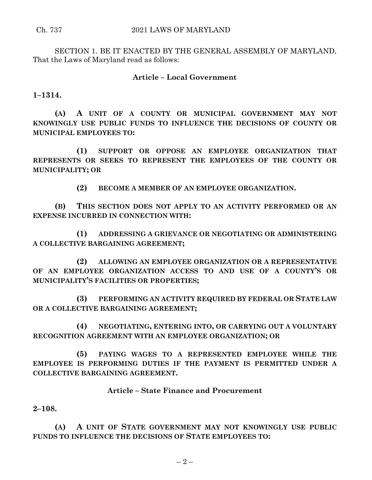SECTION 1. BE IT ENACTED BY THE GENERAL ASSEMBLY OF MARYLAND, That the Laws of Maryland read as follows:

## **Article – Local Government**

**1–1314.**

**(A) A UNIT OF A COUNTY OR MUNICIPAL GOVERNMENT MAY NOT KNOWINGLY USE PUBLIC FUNDS TO INFLUENCE THE DECISIONS OF COUNTY OR MUNICIPAL EMPLOYEES TO:**

**(1) SUPPORT OR OPPOSE AN EMPLOYEE ORGANIZATION THAT REPRESENTS OR SEEKS TO REPRESENT THE EMPLOYEES OF THE COUNTY OR MUNICIPALITY; OR**

**(2) BECOME A MEMBER OF AN EMPLOYEE ORGANIZATION.**

**(B) THIS SECTION DOES NOT APPLY TO AN ACTIVITY PERFORMED OR AN EXPENSE INCURRED IN CONNECTION WITH:**

**(1) ADDRESSING A GRIEVANCE OR NEGOTIATING OR ADMINISTERING A COLLECTIVE BARGAINING AGREEMENT;**

**(2) ALLOWING AN EMPLOYEE ORGANIZATION OR A REPRESENTATIVE OF AN EMPLOYEE ORGANIZATION ACCESS TO AND USE OF A COUNTY'S OR MUNICIPALITY'S FACILITIES OR PROPERTIES;**

**(3) PERFORMING AN ACTIVITY REQUIRED BY FEDERAL OR STATE LAW OR A COLLECTIVE BARGAINING AGREEMENT;**

**(4) NEGOTIATING, ENTERING INTO, OR CARRYING OUT A VOLUNTARY RECOGNITION AGREEMENT WITH AN EMPLOYEE ORGANIZATION; OR**

**(5) PAYING WAGES TO A REPRESENTED EMPLOYEE WHILE THE EMPLOYEE IS PERFORMING DUTIES IF THE PAYMENT IS PERMITTED UNDER A COLLECTIVE BARGAINING AGREEMENT.**

**Article – State Finance and Procurement**

**2–108.**

**(A) A UNIT OF STATE GOVERNMENT MAY NOT KNOWINGLY USE PUBLIC FUNDS TO INFLUENCE THE DECISIONS OF STATE EMPLOYEES TO:**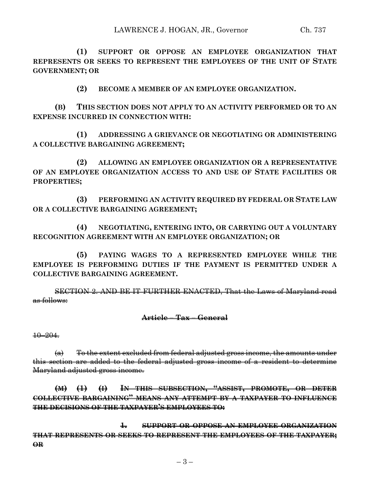**(1) SUPPORT OR OPPOSE AN EMPLOYEE ORGANIZATION THAT REPRESENTS OR SEEKS TO REPRESENT THE EMPLOYEES OF THE UNIT OF STATE GOVERNMENT; OR**

**(2) BECOME A MEMBER OF AN EMPLOYEE ORGANIZATION.**

**(B) THIS SECTION DOES NOT APPLY TO AN ACTIVITY PERFORMED OR TO AN EXPENSE INCURRED IN CONNECTION WITH:**

**(1) ADDRESSING A GRIEVANCE OR NEGOTIATING OR ADMINISTERING A COLLECTIVE BARGAINING AGREEMENT;**

**(2) ALLOWING AN EMPLOYEE ORGANIZATION OR A REPRESENTATIVE OF AN EMPLOYEE ORGANIZATION ACCESS TO AND USE OF STATE FACILITIES OR PROPERTIES;**

**(3) PERFORMING AN ACTIVITY REQUIRED BY FEDERAL OR STATE LAW OR A COLLECTIVE BARGAINING AGREEMENT;**

**(4) NEGOTIATING, ENTERING INTO, OR CARRYING OUT A VOLUNTARY RECOGNITION AGREEMENT WITH AN EMPLOYEE ORGANIZATION; OR**

**(5) PAYING WAGES TO A REPRESENTED EMPLOYEE WHILE THE EMPLOYEE IS PERFORMING DUTIES IF THE PAYMENT IS PERMITTED UNDER A COLLECTIVE BARGAINING AGREEMENT.**

SECTION 2. AND BE IT FURTHER ENACTED, That the Laws of Maryland read as follows:

### **Article – Tax – General**

10–204.

 $\left(\alpha\right)$  To the extent excluded from federal adjusted gross income, the amounts under this section are added to the federal adjusted gross income of a resident to determine Maryland adjusted gross income.

**(M) (1) (I) IN THIS SUBSECTION, "ASSIST, PROMOTE, OR DETER COLLECTIVE BARGAINING" MEANS ANY ATTEMPT BY A TAXPAYER TO INFLUENCE THE DECISIONS OF THE TAXPAYER'S EMPLOYEES TO:**

**1. SUPPORT OR OPPOSE AN EMPLOYEE ORGANIZATION THAT REPRESENTS OR SEEKS TO REPRESENT THE EMPLOYEES OF THE TAXPAYER; OR**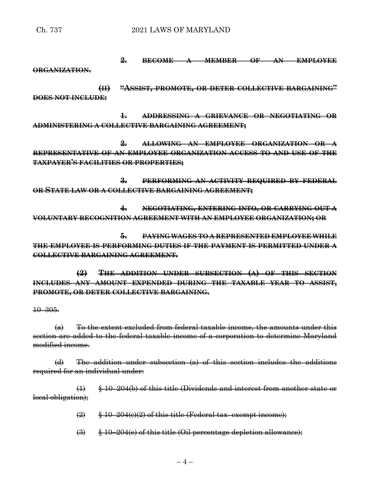**2. BECOME A MEMBER OF AN EMPLOYEE**

**ORGANIZATION.**

**(II) "ASSIST, PROMOTE, OR DETER COLLECTIVE BARGAINING" DOES NOT INCLUDE:**

**1. ADDRESSING A GRIEVANCE OR NEGOTIATING OR ADMINISTERING A COLLECTIVE BARGAINING AGREEMENT;**

**2. ALLOWING AN EMPLOYEE ORGANIZATION OR A REPRESENTATIVE OF AN EMPLOYEE ORGANIZATION ACCESS TO AND USE OF THE TAXPAYER'S FACILITIES OR PROPERTIES;**

**3. PERFORMING AN ACTIVITY REQUIRED BY FEDERAL OR STATE LAW OR A COLLECTIVE BARGAINING AGREEMENT;**

**4. NEGOTIATING, ENTERING INTO, OR CARRYING OUT A VOLUNTARY RECOGNITION AGREEMENT WITH AN EMPLOYEE ORGANIZATION; OR**

**5. PAYING WAGES TO A REPRESENTED EMPLOYEE WHILE THE EMPLOYEE IS PERFORMING DUTIES IF THE PAYMENT IS PERMITTED UNDER A COLLECTIVE BARGAINING AGREEMENT.**

**(2) THE ADDITION UNDER SUBSECTION (A) OF THIS SECTION INCLUDES ANY AMOUNT EXPENDED DURING THE TAXABLE YEAR TO ASSIST, PROMOTE, OR DETER COLLECTIVE BARGAINING.**

10–305.

 $(a)$  To the extent excluded from federal taxable income, the amounts under this section are added to the federal taxable income of a corporation to determine Maryland modified income.

(d) The addition under subsection (a) of this section includes the additions required for an individual under:

 $\leftrightarrow$  8.10–204(b) of this title (Dividends and interest from another state or local obligation);

 $\left(2\right)$   $\frac{10-204(e)(2)$  of this title (Federal tax–exempt income);

 $\left(\frac{1}{2}\right)$   $\left(\frac{1}{2}\right)$   $\left(\frac{1}{2}\right)$   $\left(\frac{1}{2}\right)$   $\left(\frac{1}{2}\right)$   $\left(\frac{1}{2}\right)$   $\left(\frac{1}{2}\right)$   $\left(\frac{1}{2}\right)$   $\left(\frac{1}{2}\right)$   $\left(\frac{1}{2}\right)$   $\left(\frac{1}{2}\right)$   $\left(\frac{1}{2}\right)$   $\left(\frac{1}{2}\right)$   $\left(\frac{1}{2}\right)$   $\left(\frac{1}{2}\right)$   $\left(\frac{1}{2}\right$